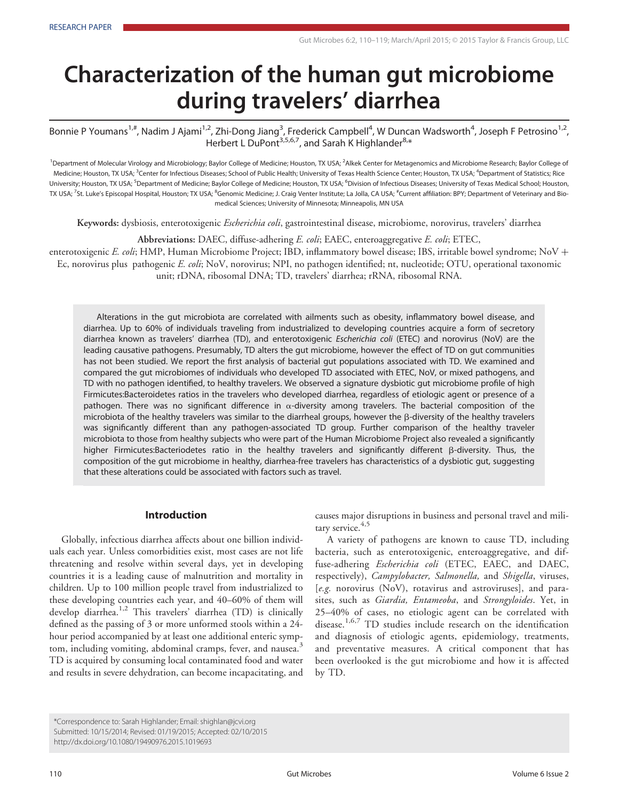# Characterization of the human gut microbiome during travelers' diarrhea

Bonnie P Youmans<sup>1,#</sup>, Nadim J Ajami<sup>1,2</sup>, Zhi-Dong Jiang<sup>3</sup>, Frederick Campbell<sup>4</sup>, W Duncan Wadsworth<sup>4</sup>, Joseph F Petrosino<sup>1,2</sup>, Herbert L DuPont<sup>3,5,6,7</sup>, and Sarah K Highlander<sup>8,\*</sup>

<sup>1</sup>Department of Molecular Virology and Microbiology; Baylor College of Medicine; Houston, TX USA; <sup>2</sup>Alkek Center for Metagenomics and Microbiome Research; Baylor College of Medicine; Houston, TX USA; <sup>3</sup>Center for Infectious Diseases; School of Public Health; University of Texas Health Science Center; Houston, TX USA; <sup>4</sup>Department of Statistics; Rice University; Houston, TX USA; <sup>5</sup>Department of Medicine; Baylor College of Medicine; Houston, TX USA; <sup>6</sup>Division of Infectious Diseases; University of Texas Medical School; Houston, TX USA; <sup>7</sup>St. Luke's Episcopal Hospital, Houston; TX USA; <sup>8</sup>Genomic Medicine; J. Craig Venter Institute; La Jolla, CA USA; <sup>#</sup>Current affiliation: BPY; Department of Veterinary and Biomedical Sciences; University of Minnesota; Minneapolis, MN USA

Keywords: dysbiosis, enterotoxigenic Escherichia coli, gastrointestinal disease, microbiome, norovirus, travelers' diarrhea

Abbreviations: DAEC, diffuse-adhering E. coli; EAEC, enteroaggregative E. coli; ETEC,

enterotoxigenic E. coli; HMP, Human Microbiome Project; IBD, inflammatory bowel disease; IBS, irritable bowel syndrome; NoV + Ec, norovirus plus pathogenic E. coli; NoV, norovirus; NPI, no pathogen identified; nt, nucleotide; OTU, operational taxonomic unit; rDNA, ribosomal DNA; TD, travelers' diarrhea; rRNA, ribosomal RNA.

Alterations in the gut microbiota are correlated with ailments such as obesity, inflammatory bowel disease, and diarrhea. Up to 60% of individuals traveling from industrialized to developing countries acquire a form of secretory diarrhea known as travelers' diarrhea (TD), and enterotoxigenic Escherichia coli (ETEC) and norovirus (NoV) are the leading causative pathogens. Presumably, TD alters the gut microbiome, however the effect of TD on gut communities has not been studied. We report the first analysis of bacterial gut populations associated with TD. We examined and compared the gut microbiomes of individuals who developed TD associated with ETEC, NoV, or mixed pathogens, and TD with no pathogen identified, to healthy travelers. We observed a signature dysbiotic gut microbiome profile of high Firmicutes:Bacteroidetes ratios in the travelers who developed diarrhea, regardless of etiologic agent or presence of a pathogen. There was no significant difference in  $\alpha$ -diversity among travelers. The bacterial composition of the microbiota of the healthy travelers was similar to the diarrheal groups, however the  $\beta$ -diversity of the healthy travelers was significantly different than any pathogen-associated TD group. Further comparison of the healthy traveler microbiota to those from healthy subjects who were part of the Human Microbiome Project also revealed a significantly higher Firmicutes:Bacteriodetes ratio in the healthy travelers and significantly different  $\beta$ -diversity. Thus, the composition of the gut microbiome in healthy, diarrhea-free travelers has characteristics of a dysbiotic gut, suggesting that these alterations could be associated with factors such as travel.

# Introduction

Globally, infectious diarrhea affects about one billion individuals each year. Unless comorbidities exist, most cases are not life threatening and resolve within several days, yet in developing countries it is a leading cause of malnutrition and mortality in children. Up to 100 million people travel from industrialized to these developing countries each year, and 40–60% of them will develop diarrhea.<sup>1,2</sup> This travelers' diarrhea (TD) is clinically defined as the passing of 3 or more unformed stools within a 24 hour period accompanied by at least one additional enteric symptom, including vomiting, abdominal cramps, fever, and nausea.<sup>3</sup> TD is acquired by consuming local contaminated food and water and results in severe dehydration, can become incapacitating, and

causes major disruptions in business and personal travel and military service.<sup>4,5</sup>

A variety of pathogens are known to cause TD, including bacteria, such as enterotoxigenic, enteroaggregative, and diffuse-adhering Escherichia coli (ETEC, EAEC, and DAEC, respectively), *Campylobacter*, *Salmonella*, and *Shigella*, viruses, [e.g. norovirus (NoV), rotavirus and astroviruses], and parasites, such as Giardia, Entameoba, and Strongyloides. Yet, in 25–40% of cases, no etiologic agent can be correlated with disease.<sup>1,6,7</sup> TD studies include research on the identification and diagnosis of etiologic agents, epidemiology, treatments, and preventative measures. A critical component that has been overlooked is the gut microbiome and how it is affected by TD.

<sup>\*</sup>Correspondence to: Sarah Highlander; Email: shighlan@jcvi.org Submitted: 10/15/2014; Revised: 01/19/2015; Accepted: 02/10/2015 http://dx.doi.org/10.1080/19490976.2015.1019693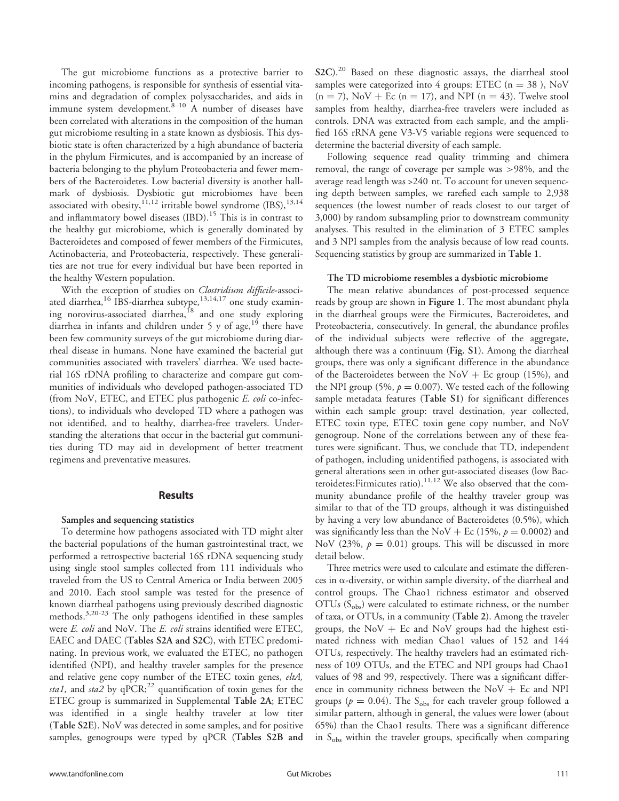The gut microbiome functions as a protective barrier to incoming pathogens, is responsible for synthesis of essential vitamins and degradation of complex polysaccharides, and aids in immune system development. $8-10$  A number of diseases have been correlated with alterations in the composition of the human gut microbiome resulting in a state known as dysbiosis. This dysbiotic state is often characterized by a high abundance of bacteria in the phylum Firmicutes, and is accompanied by an increase of bacteria belonging to the phylum Proteobacteria and fewer members of the Bacteroidetes. Low bacterial diversity is another hallmark of dysbiosis. Dysbiotic gut microbiomes have been associated with obesity,<sup>11,12</sup> irritable bowel syndrome (IBS),<sup>13,14</sup> and inflammatory bowel diseases  $(IBD)$ .<sup>15</sup> This is in contrast to the healthy gut microbiome, which is generally dominated by Bacteroidetes and composed of fewer members of the Firmicutes, Actinobacteria, and Proteobacteria, respectively. These generalities are not true for every individual but have been reported in the healthy Western population.

With the exception of studies on *Clostridium difficile-associ*ated diarrhea,<sup>16</sup> IBS-diarrhea subtype,<sup>13,14,17</sup> one study examining norovirus-associated diarrhea,<sup>18</sup> and one study exploring diarrhea in infants and children under 5 y of age,  $19$  there have been few community surveys of the gut microbiome during diarrheal disease in humans. None have examined the bacterial gut communities associated with travelers' diarrhea. We used bacterial 16S rDNA profiling to characterize and compare gut communities of individuals who developed pathogen-associated TD (from NoV, ETEC, and ETEC plus pathogenic E. coli co-infections), to individuals who developed TD where a pathogen was not identified, and to healthy, diarrhea-free travelers. Understanding the alterations that occur in the bacterial gut communities during TD may aid in development of better treatment regimens and preventative measures.

# Results

#### Samples and sequencing statistics

To determine how pathogens associated with TD might alter the bacterial populations of the human gastrointestinal tract, we performed a retrospective bacterial 16S rDNA sequencing study using single stool samples collected from 111 individuals who traveled from the US to Central America or India between 2005 and 2010. Each stool sample was tested for the presence of known diarrheal pathogens using previously described diagnostic methods.3,20-23 The only pathogens identified in these samples were E. coli and NoV. The E. coli strains identified were ETEC, EAEC and DAEC (Tables S2A and S2C), with ETEC predominating. In previous work, we evaluated the ETEC, no pathogen identified (NPI), and healthy traveler samples for the presence and relative gene copy number of the ETEC toxin genes, eltA, sta1, and sta2 by  $qPCR;^{22}$  quantification of toxin genes for the ETEC group is summarized in Supplemental Table 2A; ETEC was identified in a single healthy traveler at low titer (Table S2E). NoV was detected in some samples, and for positive samples, genogroups were typed by qPCR (Tables S2B and S2C).<sup>20</sup> Based on these diagnostic assays, the diarrheal stool samples were categorized into 4 groups: ETEC ( $n = 38$ ), NoV  $(n = 7)$ , NoV + Ec  $(n = 17)$ , and NPI  $(n = 43)$ . Twelve stool samples from healthy, diarrhea-free travelers were included as controls. DNA was extracted from each sample, and the amplified 16S rRNA gene V3-V5 variable regions were sequenced to determine the bacterial diversity of each sample.

Following sequence read quality trimming and chimera removal, the range of coverage per sample was >98%, and the average read length was >240 nt. To account for uneven sequencing depth between samples, we rarefied each sample to 2,938 sequences (the lowest number of reads closest to our target of 3,000) by random subsampling prior to downstream community analyses. This resulted in the elimination of 3 ETEC samples and 3 NPI samples from the analysis because of low read counts. Sequencing statistics by group are summarized in Table 1.

## The TD microbiome resembles a dysbiotic microbiome

The mean relative abundances of post-processed sequence reads by group are shown in Figure 1. The most abundant phyla in the diarrheal groups were the Firmicutes, Bacteroidetes, and Proteobacteria, consecutively. In general, the abundance profiles of the individual subjects were reflective of the aggregate, although there was a continuum (Fig. S1). Among the diarrheal groups, there was only a significant difference in the abundance of the Bacteroidetes between the  $NoV + Ec$  group (15%), and the NPI group (5%,  $p = 0.007$ ). We tested each of the following sample metadata features (Table S1) for significant differences within each sample group: travel destination, year collected, ETEC toxin type, ETEC toxin gene copy number, and NoV genogroup. None of the correlations between any of these features were significant. Thus, we conclude that TD, independent of pathogen, including unidentified pathogens, is associated with general alterations seen in other gut-associated diseases (low Bacteroidetes:Firmicutes ratio). $11,12$  We also observed that the community abundance profile of the healthy traveler group was similar to that of the TD groups, although it was distinguished by having a very low abundance of Bacteroidetes (0.5%), which was significantly less than the NoV + Ec (15%,  $p = 0.0002$ ) and NoV (23%,  $p = 0.01$ ) groups. This will be discussed in more detail below.

Three metrics were used to calculate and estimate the differences in  $\alpha$ -diversity, or within sample diversity, of the diarrheal and control groups. The Chao1 richness estimator and observed  $OTUs$  ( $S_{obs}$ ) were calculated to estimate richness, or the number of taxa, or OTUs, in a community (Table 2). Among the traveler groups, the  $NoV + Ec$  and  $NoV$  groups had the highest estimated richness with median Chao1 values of 152 and 144 OTUs, respectively. The healthy travelers had an estimated richness of 109 OTUs, and the ETEC and NPI groups had Chao1 values of 98 and 99, respectively. There was a significant difference in community richness between the  $NoV + Ec$  and NPI groups ( $p = 0.04$ ). The S<sub>obs</sub> for each traveler group followed a similar pattern, although in general, the values were lower (about 65%) than the Chao1 results. There was a significant difference in S<sub>obs</sub> within the traveler groups, specifically when comparing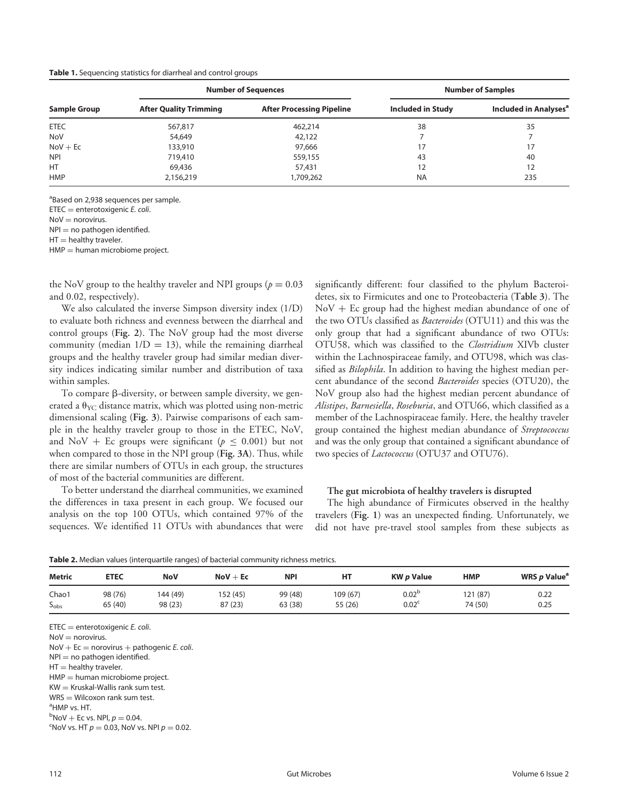| Table 1. Sequencing statistics for diarrheal and control groups |  |  |  |
|-----------------------------------------------------------------|--|--|--|
|-----------------------------------------------------------------|--|--|--|

|                     |                               | <b>Number of Sequences</b>       | <b>Number of Samples</b> |                                   |  |
|---------------------|-------------------------------|----------------------------------|--------------------------|-----------------------------------|--|
| <b>Sample Group</b> | <b>After Quality Trimming</b> | <b>After Processing Pipeline</b> | Included in Study        | Included in Analyses <sup>a</sup> |  |
| <b>ETEC</b>         | 567,817                       | 462,214                          | 38                       | 35                                |  |
| NoV                 | 54,649                        | 42,122                           |                          |                                   |  |
| $Nov + Ec$          | 133,910                       | 97,666                           | 17                       | 17                                |  |
| <b>NPI</b>          | 719,410                       | 559,155                          | 43                       | 40                                |  |
| HT                  | 69,436                        | 57,431                           | 12                       | 12                                |  |
| <b>HMP</b>          | 2,156,219                     | 1,709,262                        | <b>NA</b>                | 235                               |  |

<sup>a</sup>Based on 2,938 sequences per sample.  $ETEC = enterotoxigenic E. coli.$ 

 $N$ <sup>o</sup> $V$  = norovirus.

 $NPI = no$  pathogen identified.

 $HT =$  healthy traveler.

 $HMP =$  human microbiome project.

the NoV group to the healthy traveler and NPI groups ( $p = 0.03$ ) and 0.02, respectively).

We also calculated the inverse Simpson diversity index (1/D) to evaluate both richness and evenness between the diarrheal and control groups (Fig. 2). The NoV group had the most diverse community (median  $1/D = 13$ ), while the remaining diarrheal groups and the healthy traveler group had similar median diversity indices indicating similar number and distribution of taxa within samples.

To compare  $\beta$ -diversity, or between sample diversity, we generated a  $\theta_{\text{YC}}$  distance matrix, which was plotted using non-metric dimensional scaling (Fig. 3). Pairwise comparisons of each sample in the healthy traveler group to those in the ETEC, NoV, and NoV + Ec groups were significant ( $p \leq 0.001$ ) but not when compared to those in the NPI group (Fig. 3A). Thus, while there are similar numbers of OTUs in each group, the structures of most of the bacterial communities are different.

To better understand the diarrheal communities, we examined the differences in taxa present in each group. We focused our analysis on the top 100 OTUs, which contained 97% of the sequences. We identified 11 OTUs with abundances that were significantly different: four classified to the phylum Bacteroidetes, six to Firmicutes and one to Proteobacteria (Table 3). The  $NoV + Ec$  group had the highest median abundance of one of the two OTUs classified as Bacteroides (OTU11) and this was the only group that had a significant abundance of two OTUs: OTU58, which was classified to the Clostridium XIVb cluster within the Lachnospiraceae family, and OTU98, which was classified as *Bilophila*. In addition to having the highest median percent abundance of the second *Bacteroides* species (OTU20), the NoV group also had the highest median percent abundance of Alistipes, Barnesiella, Roseburia, and OTU66, which classified as a member of the Lachnospiraceae family. Here, the healthy traveler group contained the highest median abundance of Streptococcus and was the only group that contained a significant abundance of two species of *Lactococcus* (OTU37 and OTU76).

## The gut microbiota of healthy travelers is disrupted

The high abundance of Firmicutes observed in the healthy travelers (Fig. 1) was an unexpected finding. Unfortunately, we did not have pre-travel stool samples from these subjects as

Table 2. Median values (interquartile ranges) of bacterial community richness metrics.

| -                      |                    |                     |                     |                    |                     |                                        |                     |                          |
|------------------------|--------------------|---------------------|---------------------|--------------------|---------------------|----------------------------------------|---------------------|--------------------------|
| <b>Metric</b>          | <b>ETEC</b>        | <b>NoV</b>          | $NoV + Ec$          | <b>NPI</b>         | HT                  | <b>KW</b> <i>p</i> Value               | HMP                 | WRS p Value <sup>a</sup> |
| Chao1<br>$S_{\rm obs}$ | 98 (76)<br>65 (40) | 144 (49)<br>98 (23) | 152 (45)<br>87 (23) | 99 (48)<br>63 (38) | 109 (67)<br>55 (26) | 0.02 <sup>b</sup><br>0.02 <sup>c</sup> | 121 (87)<br>74 (50) | 0.22<br>0.25             |

 $ETEC = enterotoxigenic E. coli.$ 

 $Nov = norovirus.$ 

 $NoV + Ec = norovirus + pathogenic E. coli.$  $NPI = no$  pathogen identified.

 $HT =$  healthy traveler.

 $HMP =$  human microbiome project.

 $KW = Kruskal-Wallis rank sum test.$ 

 $WRS = Wilcoxon rank sum test.$ 

<sup>a</sup>HMP vs. HT.

 $b^{\text{b}}$ NoV + Ec vs. NPI,  $p = 0.04$ .

 $N$ OV vs. HT  $p = 0.03$ , NoV vs. NPI  $p = 0.02$ .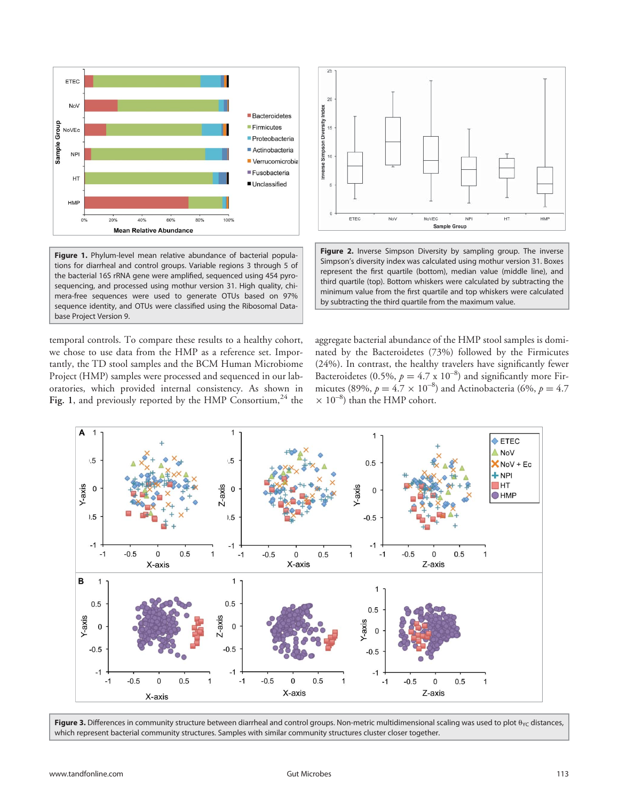

Figure 1. Phylum-level mean relative abundance of bacterial populations for diarrheal and control groups. Variable regions 3 through 5 of the bacterial 16S rRNA gene were amplified, sequenced using 454 pyrosequencing, and processed using mothur version 31. High quality, chimera-free sequences were used to generate OTUs based on 97% sequence identity, and OTUs were classified using the Ribosomal Database Project Version 9.

temporal controls. To compare these results to a healthy cohort, we chose to use data from the HMP as a reference set. Importantly, the TD stool samples and the BCM Human Microbiome Project (HMP) samples were processed and sequenced in our laboratories, which provided internal consistency. As shown in Fig. 1, and previously reported by the HMP Consortium, $^{24}$  the



Figure 2. Inverse Simpson Diversity by sampling group. The inverse Simpson's diversity index was calculated using mothur version 31. Boxes represent the first quartile (bottom), median value (middle line), and third quartile (top). Bottom whiskers were calculated by subtracting the minimum value from the first quartile and top whiskers were calculated by subtracting the third quartile from the maximum value.

aggregate bacterial abundance of the HMP stool samples is dominated by the Bacteroidetes (73%) followed by the Firmicutes (24%). In contrast, the healthy travelers have significantly fewer Bacteroidetes (0.5%,  $p = 4.7 \times 10^{-8}$ ) and significantly more Firmicutes (89%,  $p = 4.7 \times 10^{-8}$ ) and Actinobacteria (6%,  $p = 4.7$  $\times$  10<sup>-8</sup>) than the HMP cohort.



Figure 3. Differences in community structure between diarrheal and control groups. Non-metric multidimensional scaling was used to plot  $\theta_{\text{YC}}$  distances, which represent bacterial community structures. Samples with similar community structures cluster closer together.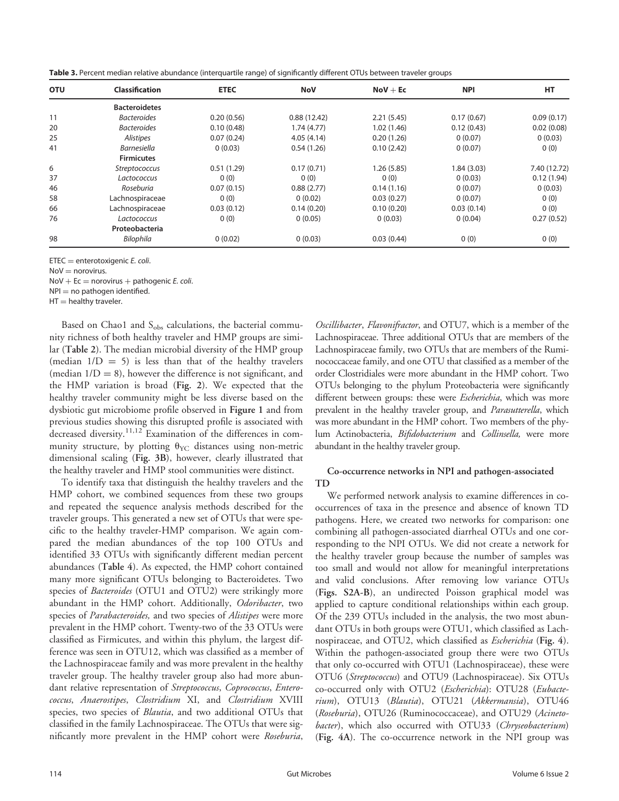Table 3. Percent median relative abundance (interquartile range) of significantly different OTUs between traveler groups

| <b>OTU</b> | <b>Classification</b> | <b>ETEC</b> | <b>NoV</b>  | $NoV + Ec$ | <b>NPI</b> | <b>HT</b>    |
|------------|-----------------------|-------------|-------------|------------|------------|--------------|
|            | <b>Bacteroidetes</b>  |             |             |            |            |              |
| 11         | <b>Bacteroides</b>    | 0.20(0.56)  | 0.88(12.42) | 2.21(5.45) | 0.17(0.67) | 0.09(0.17)   |
| 20         | <b>Bacteroides</b>    | 0.10(0.48)  | 1.74(4.77)  | 1.02(1.46) | 0.12(0.43) | 0.02(0.08)   |
| 25         | <b>Alistipes</b>      | 0.07(0.24)  | 4.05(4.14)  | 0.20(1.26) | 0(0.07)    | 0(0.03)      |
| 41         | <b>Barnesiella</b>    | 0(0.03)     | 0.54(1.26)  | 0.10(2.42) | 0(0.07)    | 0(0)         |
|            | <b>Firmicutes</b>     |             |             |            |            |              |
| 6          | Streptococcus         | 0.51(1.29)  | 0.17(0.71)  | 1.26(5.85) | 1.84(3.03) | 7.40 (12.72) |
| 37         | Lactococcus           | 0(0)        | 0(0)        | 0(0)       | 0(0.03)    | 0.12(1.94)   |
| 46         | Roseburia             | 0.07(0.15)  | 0.88(2.77)  | 0.14(1.16) | 0(0.07)    | 0(0.03)      |
| 58         | Lachnospiraceae       | 0(0)        | 0(0.02)     | 0.03(0.27) | 0(0.07)    | 0(0)         |
| 66         | Lachnospiraceae       | 0.03(0.12)  | 0.14(0.20)  | 0.10(0.20) | 0.03(0.14) | 0(0)         |
| 76         | Lactococcus           | 0(0)        | 0(0.05)     | 0(0.03)    | 0(0.04)    | 0.27(0.52)   |
|            | Proteobacteria        |             |             |            |            |              |
| 98         | Bilophila             | 0(0.02)     | 0(0.03)     | 0.03(0.44) | 0(0)       | 0(0)         |

 $ETEC = enterotoxigenic E. coli.$ 

 $Nov =$  norovirus.

 $Nov + Ec =$  norovirus  $+$  pathogenic E. coli.

 $NPI = no$  pathogen identified.

 $HT =$  healthy traveler.

Based on Chao1 and  $S_{obs}$  calculations, the bacterial community richness of both healthy traveler and HMP groups are similar (Table 2). The median microbial diversity of the HMP group (median  $1/D = 5$ ) is less than that of the healthy travelers (median  $1/D = 8$ ), however the difference is not significant, and the HMP variation is broad (Fig. 2). We expected that the healthy traveler community might be less diverse based on the dysbiotic gut microbiome profile observed in Figure 1 and from previous studies showing this disrupted profile is associated with decreased diversity.<sup>11,12</sup> Examination of the differences in community structure, by plotting  $\theta_{\text{YC}}$  distances using non-metric dimensional scaling (Fig. 3B), however, clearly illustrated that the healthy traveler and HMP stool communities were distinct.

To identify taxa that distinguish the healthy travelers and the HMP cohort, we combined sequences from these two groups and repeated the sequence analysis methods described for the traveler groups. This generated a new set of OTUs that were specific to the healthy traveler-HMP comparison. We again compared the median abundances of the top 100 OTUs and identified 33 OTUs with significantly different median percent abundances (Table 4). As expected, the HMP cohort contained many more significant OTUs belonging to Bacteroidetes. Two species of *Bacteroides* (OTU1 and OTU2) were strikingly more abundant in the HMP cohort. Additionally, Odoribacter, two species of Parabacteroides, and two species of Alistipes were more prevalent in the HMP cohort. Twenty-two of the 33 OTUs were classified as Firmicutes, and within this phylum, the largest difference was seen in OTU12, which was classified as a member of the Lachnospiraceae family and was more prevalent in the healthy traveler group. The healthy traveler group also had more abundant relative representation of Streptococcus, Coprococcus, Enterococcus, Anaerostipes, Clostridium XI, and Clostridium XVIII species, two species of *Blautia*, and two additional OTUs that classified in the family Lachnospiraceae. The OTUs that were significantly more prevalent in the HMP cohort were Roseburia,

Oscillibacter, Flavonifractor, and OTU7, which is a member of the Lachnospiraceae. Three additional OTUs that are members of the Lachnospiraceae family, two OTUs that are members of the Ruminococcaceae family, and one OTU that classified as a member of the order Clostridiales were more abundant in the HMP cohort. Two OTUs belonging to the phylum Proteobacteria were significantly different between groups: these were *Escherichia*, which was more prevalent in the healthy traveler group, and *Parasutterella*, which was more abundant in the HMP cohort. Two members of the phylum Actinobacteria, Bifidobacterium and Collinsella, were more abundant in the healthy traveler group.

# Co-occurrence networks in NPI and pathogen-associated TD

We performed network analysis to examine differences in cooccurrences of taxa in the presence and absence of known TD pathogens. Here, we created two networks for comparison: one combining all pathogen-associated diarrheal OTUs and one corresponding to the NPI OTUs. We did not create a network for the healthy traveler group because the number of samples was too small and would not allow for meaningful interpretations and valid conclusions. After removing low variance OTUs (Figs. S2A-B), an undirected Poisson graphical model was applied to capture conditional relationships within each group. Of the 239 OTUs included in the analysis, the two most abundant OTUs in both groups were OTU1, which classified as Lachnospiraceae, and OTU2, which classified as Escherichia (Fig. 4). Within the pathogen-associated group there were two OTUs that only co-occurred with OTU1 (Lachnospiraceae), these were OTU6 (Streptococcus) and OTU9 (Lachnospiraceae). Six OTUs co-occurred only with OTU2 (Escherichia): OTU28 (Eubacterium), OTU13 (Blautia), OTU21 (Akkermansia), OTU46 (Roseburia), OTU26 (Ruminococcaceae), and OTU29 (Acinetobacter), which also occurred with OTU33 (Chryseobacterium) (Fig. 4A). The co-occurrence network in the NPI group was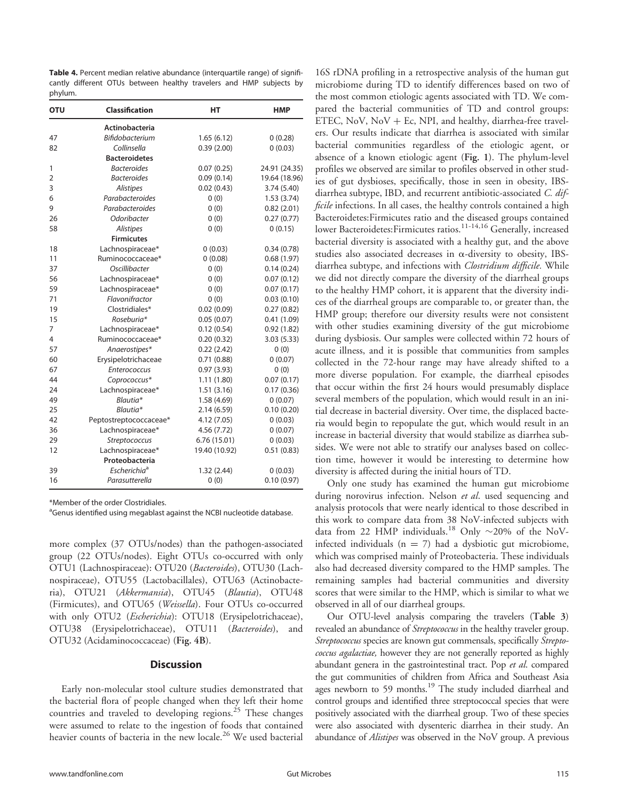|         |  | <b>Table 4.</b> Percent median relative abundance (interguartile range) of signifi- |  |  |  |
|---------|--|-------------------------------------------------------------------------------------|--|--|--|
|         |  | cantly different OTUs between healthy travelers and HMP subjects by                 |  |  |  |
| phylum. |  |                                                                                     |  |  |  |

| OTU            | <b>Classification</b>    | HT            | <b>HMP</b>    |
|----------------|--------------------------|---------------|---------------|
|                | <b>Actinobacteria</b>    |               |               |
| 47             | <b>Bifidobacterium</b>   | 1.65(6.12)    | 0(0.28)       |
| 82             | Collinsella              | 0.39(2.00)    | 0(0.03)       |
|                | <b>Bacteroidetes</b>     |               |               |
| 1              | <b>Bacteroides</b>       | 0.07(0.25)    | 24.91 (24.35) |
| $\overline{2}$ | <b>Bacteroides</b>       | 0.09(0.14)    | 19.64 (18.96) |
| 3              | <b>Alistipes</b>         | 0.02(0.43)    | 3.74 (5.40)   |
| 6              | Parabacteroides          | 0(0)          | 1.53(3.74)    |
| 9              | Parabacteroides          | 0(0)          | 0.82(2.01)    |
| 26             | Odoribacter              | 0(0)          | 0.27(0.77)    |
| 58             | <b>Alistipes</b>         | 0(0)          | 0(0.15)       |
|                | <b>Firmicutes</b>        |               |               |
| 18             | Lachnospiraceae*         | 0(0.03)       | 0.34(0.78)    |
| 11             | Ruminococcaceae*         | 0(0.08)       | 0.68(1.97)    |
| 37             | Oscillibacter            | 0(0)          | 0.14(0.24)    |
| 56             | Lachnospiraceae*         | 0(0)          | 0.07(0.12)    |
| 59             | Lachnospiraceae*         | 0(0)          | 0.07(0.17)    |
| 71             | Flavonifractor           | 0(0)          | 0.03(0.10)    |
| 19             | Clostridiales*           | 0.02(0.09)    | 0.27(0.82)    |
| 15             | Roseburia*               | 0.05(0.07)    | 0.41(1.09)    |
| 7              | Lachnospiraceae*         | 0.12(0.54)    | 0.92(1.82)    |
| $\overline{4}$ | Ruminococcaceae*         | 0.20(0.32)    | 3.03(5.33)    |
| 57             | Anaerostipes*            | 0.22(2.42)    | 0(0)          |
| 60             | Erysipelotrichaceae      | 0.71(0.88)    | 0(0.07)       |
| 67             | Enterococcus             | 0.97(3.93)    | 0(0)          |
| 44             | Coprococcus*             | 1.11(1.80)    | 0.07(0.17)    |
| 24             | Lachnospiraceae*         | 1.51(3.16)    | 0.17(0.36)    |
| 49             | Blautia*                 | 1.58(4.69)    | 0(0.07)       |
| 25             | Blautia*                 | 2.14(6.59)    | 0.10(0.20)    |
| 42             | Peptostreptococcaceae*   | 4.12(7.05)    | 0(0.03)       |
| 36             | Lachnospiraceae*         | 4.56 (7.72)   | 0(0.07)       |
| 29             | Streptococcus            | 6.76(15.01)   | 0(0.03)       |
| 12             | Lachnospiraceae*         | 19.40 (10.92) | 0.51(0.83)    |
|                | Proteobacteria           |               |               |
| 39             | Escherichia <sup>a</sup> | 1.32 (2.44)   | 0(0.03)       |
| 16             | Parasutterella           | 0(0)          | 0.10(0.97)    |

\*Member of the order Clostridiales.

<sup>a</sup>Genus identified using megablast against the NCBI nucleotide database.

more complex (37 OTUs/nodes) than the pathogen-associated group (22 OTUs/nodes). Eight OTUs co-occurred with only OTU1 (Lachnospiraceae): OTU20 (Bacteroides), OTU30 (Lachnospiraceae), OTU55 (Lactobacillales), OTU63 (Actinobacteria), OTU21 (Akkermansia), OTU45 (Blautia), OTU48 (Firmicutes), and OTU65 (Weissella). Four OTUs co-occurred with only OTU2 (Escherichia): OTU18 (Erysipelotrichaceae), OTU38 (Erysipelotrichaceae), OTU11 (Bacteroides), and OTU32 (Acidaminococcaceae) (Fig. 4B).

## **Discussion**

Early non-molecular stool culture studies demonstrated that the bacterial flora of people changed when they left their home countries and traveled to developing regions.<sup>25</sup> These changes were assumed to relate to the ingestion of foods that contained heavier counts of bacteria in the new locale.<sup>26</sup> We used bacterial

16S rDNA profiling in a retrospective analysis of the human gut microbiome during TD to identify differences based on two of the most common etiologic agents associated with TD. We compared the bacterial communities of TD and control groups: ETEC, NoV, NoV  $+$  Ec, NPI, and healthy, diarrhea-free travelers. Our results indicate that diarrhea is associated with similar bacterial communities regardless of the etiologic agent, or absence of a known etiologic agent (Fig. 1). The phylum-level profiles we observed are similar to profiles observed in other studies of gut dysbioses, specifically, those in seen in obesity, IBSdiarrhea subtype, IBD, and recurrent antibiotic-associated C. difficile infections. In all cases, the healthy controls contained a high Bacteroidetes:Firmicutes ratio and the diseased groups contained lower Bacteroidetes: Firmicutes ratios.<sup>11-14,16</sup> Generally, increased bacterial diversity is associated with a healthy gut, and the above studies also associated decreases in  $\alpha$ -diversity to obesity, IBSdiarrhea subtype, and infections with *Clostridium difficile*. While we did not directly compare the diversity of the diarrheal groups to the healthy HMP cohort, it is apparent that the diversity indices of the diarrheal groups are comparable to, or greater than, the HMP group; therefore our diversity results were not consistent with other studies examining diversity of the gut microbiome during dysbiosis. Our samples were collected within 72 hours of acute illness, and it is possible that communities from samples collected in the 72-hour range may have already shifted to a more diverse population. For example, the diarrheal episodes that occur within the first 24 hours would presumably displace several members of the population, which would result in an initial decrease in bacterial diversity. Over time, the displaced bacteria would begin to repopulate the gut, which would result in an increase in bacterial diversity that would stabilize as diarrhea subsides. We were not able to stratify our analyses based on collection time, however it would be interesting to determine how diversity is affected during the initial hours of TD.

Only one study has examined the human gut microbiome during norovirus infection. Nelson et al. used sequencing and analysis protocols that were nearly identical to those described in this work to compare data from 38 NoV-infected subjects with data from 22 HMP individuals.<sup>18</sup> Only  $\sim$ 20% of the NoVinfected individuals ( $n = 7$ ) had a dysbiotic gut microbiome, which was comprised mainly of Proteobacteria. These individuals also had decreased diversity compared to the HMP samples. The remaining samples had bacterial communities and diversity scores that were similar to the HMP, which is similar to what we observed in all of our diarrheal groups.

Our OTU-level analysis comparing the travelers (Table 3) revealed an abundance of Streptococcus in the healthy traveler group. Streptococcus species are known gut commensals, specifically Streptococcus agalactiae, however they are not generally reported as highly abundant genera in the gastrointestinal tract. Pop et al. compared the gut communities of children from Africa and Southeast Asia ages newborn to 59 months.<sup>19</sup> The study included diarrheal and control groups and identified three streptococcal species that were positively associated with the diarrheal group. Two of these species were also associated with dysenteric diarrhea in their study. An abundance of *Alistipes* was observed in the NoV group. A previous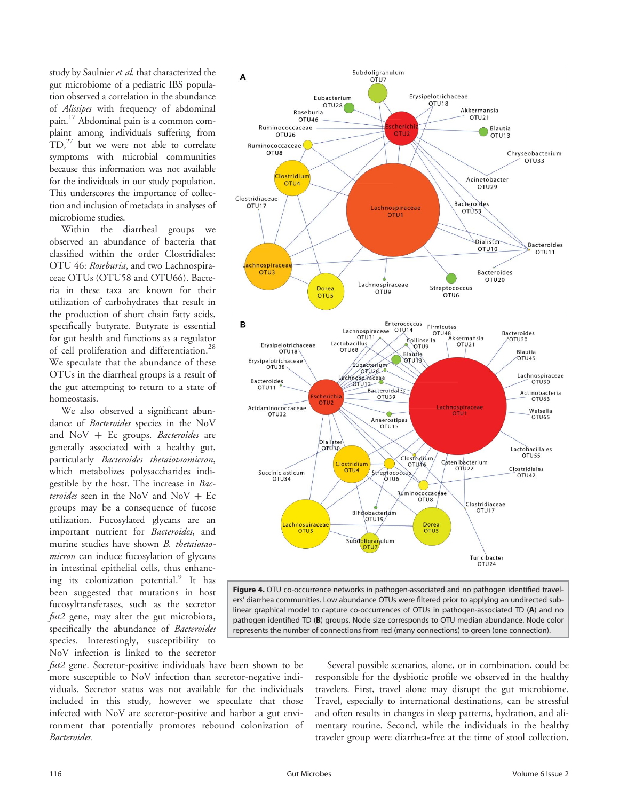study by Saulnier et al. that characterized the gut microbiome of a pediatric IBS population observed a correlation in the abundance of Alistipes with frequency of abdominal pain.17 Abdominal pain is a common complaint among individuals suffering from  $TD<sub>1</sub><sup>27</sup>$  but we were not able to correlate symptoms with microbial communities because this information was not available for the individuals in our study population. This underscores the importance of collection and inclusion of metadata in analyses of microbiome studies.

Within the diarrheal groups we observed an abundance of bacteria that classified within the order Clostridiales: OTU 46: Roseburia, and two Lachnospiraceae OTUs (OTU58 and OTU66). Bacteria in these taxa are known for their utilization of carbohydrates that result in the production of short chain fatty acids, specifically butyrate. Butyrate is essential for gut health and functions as a regulator of cell proliferation and differentiation.<sup>28</sup> We speculate that the abundance of these OTUs in the diarrheal groups is a result of the gut attempting to return to a state of homeostasis.

We also observed a significant abundance of Bacteroides species in the NoV and  $NoV + Ec$  groups. Bacteroides are generally associated with a healthy gut, particularly Bacteroides thetaiotaomicron, which metabolizes polysaccharides indigestible by the host. The increase in Bacteroides seen in the NoV and NoV  $+$  Ec groups may be a consequence of fucose utilization. Fucosylated glycans are an important nutrient for Bacteroides, and murine studies have shown B. thetaiotaomicron can induce fucosylation of glycans in intestinal epithelial cells, thus enhancing its colonization potential.<sup>9</sup> It has been suggested that mutations in host fucosyltransferases, such as the secretor fut2 gene, may alter the gut microbiota, specifically the abundance of Bacteroides species. Interestingly, susceptibility to NoV infection is linked to the secretor



Figure 4. OTU co-occurrence networks in pathogen-associated and no pathogen identified travelers' diarrhea communities. Low abundance OTUs were filtered prior to applying an undirected sublinear graphical model to capture co-occurrences of OTUs in pathogen-associated TD (A) and no pathogen identified TD (B) groups. Node size corresponds to OTU median abundance. Node color represents the number of connections from red (many connections) to green (one connection).

fut2 gene. Secretor-positive individuals have been shown to be more susceptible to NoV infection than secretor-negative individuals. Secretor status was not available for the individuals included in this study, however we speculate that those infected with NoV are secretor-positive and harbor a gut environment that potentially promotes rebound colonization of Bacteroides.

Several possible scenarios, alone, or in combination, could be responsible for the dysbiotic profile we observed in the healthy travelers. First, travel alone may disrupt the gut microbiome. Travel, especially to international destinations, can be stressful and often results in changes in sleep patterns, hydration, and alimentary routine. Second, while the individuals in the healthy traveler group were diarrhea-free at the time of stool collection,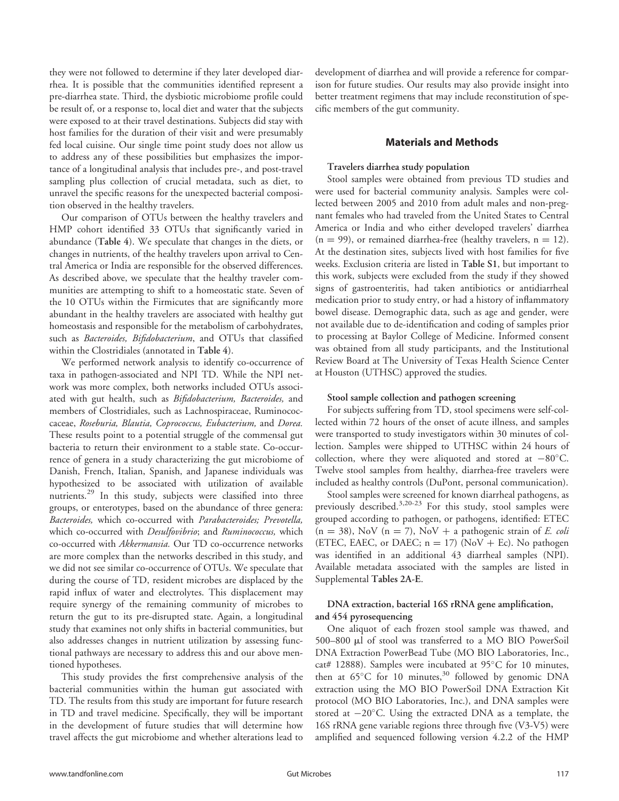they were not followed to determine if they later developed diarrhea. It is possible that the communities identified represent a pre-diarrhea state. Third, the dysbiotic microbiome profile could be result of, or a response to, local diet and water that the subjects were exposed to at their travel destinations. Subjects did stay with host families for the duration of their visit and were presumably fed local cuisine. Our single time point study does not allow us to address any of these possibilities but emphasizes the importance of a longitudinal analysis that includes pre-, and post-travel sampling plus collection of crucial metadata, such as diet, to unravel the specific reasons for the unexpected bacterial composition observed in the healthy travelers.

Our comparison of OTUs between the healthy travelers and HMP cohort identified 33 OTUs that significantly varied in abundance (Table 4). We speculate that changes in the diets, or changes in nutrients, of the healthy travelers upon arrival to Central America or India are responsible for the observed differences. As described above, we speculate that the healthy traveler communities are attempting to shift to a homeostatic state. Seven of the 10 OTUs within the Firmicutes that are significantly more abundant in the healthy travelers are associated with healthy gut homeostasis and responsible for the metabolism of carbohydrates, such as Bacteroides, Bifidobacterium, and OTUs that classified within the Clostridiales (annotated in Table 4).

We performed network analysis to identify co-occurrence of taxa in pathogen-associated and NPI TD. While the NPI network was more complex, both networks included OTUs associated with gut health, such as Bifidobacterium, Bacteroides, and members of Clostridiales, such as Lachnospiraceae, Ruminococcaceae, Roseburia, Blautia, Coprococcus, Eubacterium, and Dorea. These results point to a potential struggle of the commensal gut bacteria to return their environment to a stable state. Co-occurrence of genera in a study characterizing the gut microbiome of Danish, French, Italian, Spanish, and Japanese individuals was hypothesized to be associated with utilization of available nutrients.<sup>29</sup> In this study, subjects were classified into three groups, or enterotypes, based on the abundance of three genera: Bacteroides, which co-occurred with Parabacteroides; Prevotella, which co-occurred with *Desulfovibrio*; and Ruminococcus, which co-occurred with Akkermansia. Our TD co-occurrence networks are more complex than the networks described in this study, and we did not see similar co-occurrence of OTUs. We speculate that during the course of TD, resident microbes are displaced by the rapid influx of water and electrolytes. This displacement may require synergy of the remaining community of microbes to return the gut to its pre-disrupted state. Again, a longitudinal study that examines not only shifts in bacterial communities, but also addresses changes in nutrient utilization by assessing functional pathways are necessary to address this and our above mentioned hypotheses.

This study provides the first comprehensive analysis of the bacterial communities within the human gut associated with TD. The results from this study are important for future research in TD and travel medicine. Specifically, they will be important in the development of future studies that will determine how travel affects the gut microbiome and whether alterations lead to development of diarrhea and will provide a reference for comparison for future studies. Our results may also provide insight into better treatment regimens that may include reconstitution of specific members of the gut community.

# Materials and Methods

# Travelers diarrhea study population

Stool samples were obtained from previous TD studies and were used for bacterial community analysis. Samples were collected between 2005 and 2010 from adult males and non-pregnant females who had traveled from the United States to Central America or India and who either developed travelers' diarrhea  $(n = 99)$ , or remained diarrhea-free (healthy travelers, n = 12). At the destination sites, subjects lived with host families for five weeks. Exclusion criteria are listed in Table S1, but important to this work, subjects were excluded from the study if they showed signs of gastroenteritis, had taken antibiotics or antidiarrheal medication prior to study entry, or had a history of inflammatory bowel disease. Demographic data, such as age and gender, were not available due to de-identification and coding of samples prior to processing at Baylor College of Medicine. Informed consent was obtained from all study participants, and the Institutional Review Board at The University of Texas Health Science Center at Houston (UTHSC) approved the studies.

#### Stool sample collection and pathogen screening

For subjects suffering from TD, stool specimens were self-collected within 72 hours of the onset of acute illness, and samples were transported to study investigators within 30 minutes of collection. Samples were shipped to UTHSC within 24 hours of collection, where they were aliquoted and stored at  $-80^{\circ}$ C. Twelve stool samples from healthy, diarrhea-free travelers were included as healthy controls (DuPont, personal communication).

Stool samples were screened for known diarrheal pathogens, as previously described.<sup>3,20-23</sup> For this study, stool samples were grouped according to pathogen, or pathogens, identified: ETEC  $(n = 38)$ , NoV  $(n = 7)$ , NoV  $+$  a pathogenic strain of E. coli (ETEC, EAEC, or DAEC;  $n = 17$ ) (NoV + Ec). No pathogen was identified in an additional 43 diarrheal samples (NPI). Available metadata associated with the samples are listed in Supplemental Tables 2A-E.

# DNA extraction, bacterial 16S rRNA gene amplification, and 454 pyrosequencing

One aliquot of each frozen stool sample was thawed, and 500–800 ml of stool was transferred to a MO BIO PowerSoil DNA Extraction PowerBead Tube (MO BIO Laboratories, Inc., cat# 12888). Samples were incubated at  $95^{\circ}$ C for 10 minutes, then at  $65^{\circ}$ C for 10 minutes,<sup>30</sup> followed by genomic DNA extraction using the MO BIO PowerSoil DNA Extraction Kit protocol (MO BIO Laboratories, Inc.), and DNA samples were stored at  $-20^{\circ}$ C. Using the extracted DNA as a template, the 16S rRNA gene variable regions three through five (V3-V5) were amplified and sequenced following version 4.2.2 of the HMP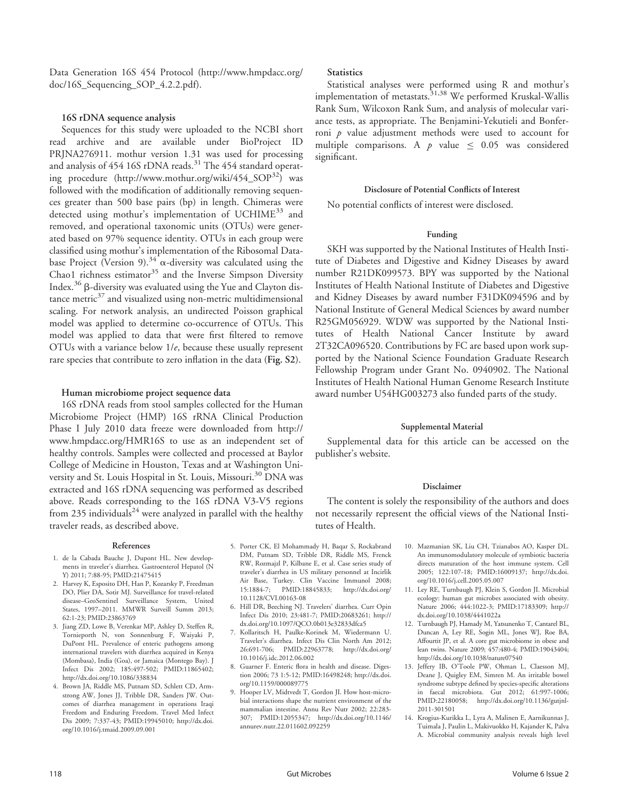Data Generation 16S 454 Protocol [\(http://www.hmpdacc.org/](http://www.hmpdacc.org/doc/16S_Sequencing_SOP_4.2.2.pdf) [doc/16S\\_Sequencing\\_SOP\\_4.2.2.pdf\).](http://www.hmpdacc.org/doc/16S_Sequencing_SOP_4.2.2.pdf)

# 16S rDNA sequence analysis

Sequences for this study were uploaded to the NCBI short read archive and are available under BioProject ID PRJNA276911. mothur version 1.31 was used for processing and analysis of  $454$  16S rDNA reads.<sup>31</sup> The  $454$  standard operating procedure ([http://www.mothur.org/wiki/454\\_SOP](http://www.mothur.org/wiki/454_SOP)<sup>32</sup>) was [followed with the modification of additionally removing sequen](http://www.mothur.org/wiki/454_SOP)[ces greater than 500 base pairs \(bp\) in length. Chimeras were](http://www.mothur.org/wiki/454_SOP) [detected using mothur](http://www.mothur.org/wiki/454_SOP)'[s](http://www.mothur.org/wiki/454_SOP) [implementation](http://www.mothur.org/wiki/454_SOP) [of](http://www.mothur.org/wiki/454_SOP) [UCHIME](http://www.mothur.org/wiki/454_SOP)<sup>33</sup> [and](http://www.mothur.org/wiki/454_SOP) [removed, and operational taxonomic units \(OTUs\) were gener](http://www.mothur.org/wiki/454_SOP)[ated based on 97% sequence identity. OTUs in each group were](http://www.mothur.org/wiki/454_SOP) [classified using mothur](http://www.mothur.org/wiki/454_SOP)'[s implementation of the Ribosomal Data](http://www.mothur.org/wiki/454_SOP)[base](http://www.mothur.org/wiki/454_SOP) [Project](http://www.mothur.org/wiki/454_SOP) [\(Version](http://www.mothur.org/wiki/454_SOP) [9\).](http://www.mothur.org/wiki/454_SOP)<sup>34</sup>  $\alpha$ [-diversity was calculated using the](http://www.mothur.org/wiki/454_SOP) [Chao1](http://www.mothur.org/wiki/454_SOP) [richness](http://www.mothur.org/wiki/454_SOP) [estimator](http://www.mothur.org/wiki/454_SOP)<sup>3[5](http://www.mothur.org/wiki/454_SOP)</sup> [and the Inverse Simpson Diversity](http://www.mothur.org/wiki/454_SOP) [Index.](http://www.mothur.org/wiki/454_SOP) $36$   $\beta$  $\beta$  $\beta$ [-diversity was evaluated using the Yue and Clayton dis](http://www.mothur.org/wiki/454_SOP)[tance](http://www.mothur.org/wiki/454_SOP) [metric](http://www.mothur.org/wiki/454_SOP) $37$  [and visualized using non-metric multidimensional](http://www.mothur.org/wiki/454_SOP) [scaling. For network analysis, an undirected Poisson graphical](http://www.mothur.org/wiki/454_SOP) [model was applied to determine co-occurrence of OTUs. This](http://www.mothur.org/wiki/454_SOP) [model was applied to data that were first filtered to remove](http://www.mothur.org/wiki/454_SOP) OTUs with a variance below 1/e[, because these usually represent](http://www.mothur.org/wiki/454_SOP) [rare species that contribute to zero inflation in the data \(](http://www.mothur.org/wiki/454_SOP)Fig. S2).

### Human microbiome project sequence data

16S rDNA reads from stool samples collected for the Human Microbiome Project (HMP) 16S rRNA Clinical Production Phase I July 2010 data freeze were downloaded from [http://](http://www.hmpdacc.org/HMR16S) [www.hmpdacc.org/HMR16S to use as an independent set of](http://www.hmpdacc.org/HMR16S) [healthy controls. Samples were collected and processed at Baylor](http://www.hmpdacc.org/HMR16S) [College of Medicine in Houston, Texas and at Washington Uni](http://www.hmpdacc.org/HMR16S)[versity](http://www.hmpdacc.org/HMR16S) [and](http://www.hmpdacc.org/HMR16S) [St.](http://www.hmpdacc.org/HMR16S) [Louis](http://www.hmpdacc.org/HMR16S) [Hospital](http://www.hmpdacc.org/HMR16S) [in](http://www.hmpdacc.org/HMR16S) St. [Louis,](http://www.hmpdacc.org/HMR16S) [Missouri.](http://www.hmpdacc.org/HMR16S)<sup>30</sup> [DNA was](http://www.hmpdacc.org/HMR16S) [extracted and 16S rDNA sequencing was performed as described](http://www.hmpdacc.org/HMR16S) [above. Reads corresponding to the 16S rDNA V3-V5 regions](http://www.hmpdacc.org/HMR16S) [from](http://www.hmpdacc.org/HMR16S) [235](http://www.hmpdacc.org/HMR16S) [individuals](http://www.hmpdacc.org/HMR16S)<sup>24</sup> [were analyzed in parallel with the healthy](http://www.hmpdacc.org/HMR16S) [traveler reads, as described above.](http://www.hmpdacc.org/HMR16S)

#### References

- 1. de la Cabada Bauche J, Dupont HL. New developments in traveler's diarrhea. Gastroenterol Hepatol (N Y) 2011; 7:88-95; PMID:21475415
- 2. Harvey K, Esposito DH, Han P, Kozarsky P, Freedman DO, Plier DA, Sotir MJ. Surveillance for travel-related disease–GeoSentinel Surveillance System, United States, 1997–2011. MMWR Surveill Summ 2013; 62:1-23; PMID:23863769
- 3. Jiang ZD, Lowe B, Verenkar MP, Ashley D, Steffen R, Tornieporth N, von Sonnenburg F, Waiyaki P, DuPont HL. Prevalence of enteric pathogens among international travelers with diarrhea acquired in Kenya (Mombasa), India (Goa), or Jamaica (Montego Bay). J Infect Dis 2002; 185:497-502; PMID:11865402; http://dx.doi.org/10.1086/338834
- 4. Brown JA, Riddle MS, Putnam SD, Schlett CD, Armstrong AW, Jones JJ, Tribble DR, Sanders JW. Outcomes of diarrhea management in operations Iraqi Freedom and Enduring Freedom. Travel Med Infect Dis 2009; 7:337-43; PMID:19945010; http://dx.doi. org/10.1016/j.tmaid.2009.09.001

**Statistics** 

Statistical analyses were performed using R and mothur's implementation of metastats.<sup>31,38</sup> We performed Kruskal-Wallis Rank Sum, Wilcoxon Rank Sum, and analysis of molecular variance tests, as appropriate. The Benjamini-Yekutieli and Bonferroni  $p$  value adjustment methods were used to account for multiple comparisons. A  $p$  value  $\leq$  0.05 was considered significant.

## Disclosure of Potential Conflicts of Interest

No potential conflicts of interest were disclosed.

## Funding

SKH was supported by the National Institutes of Health Institute of Diabetes and Digestive and Kidney Diseases by award number R21DK099573. BPY was supported by the National Institutes of Health National Institute of Diabetes and Digestive and Kidney Diseases by award number F31DK094596 and by National Institute of General Medical Sciences by award number R25GM056929. WDW was supported by the National Institutes of Health National Cancer Institute by award 2T32CA096520. Contributions by FC are based upon work supported by the National Science Foundation Graduate Research Fellowship Program under Grant No. 0940902. The National Institutes of Health National Human Genome Research Institute award number U54HG003273 also funded parts of the study.

## Supplemental Material

Supplemental data for this article can be accessed on the [publisher's website.](http://www.tandfonline.com/kgmi)

## Disclaimer

The content is solely the responsibility of the authors and does not necessarily represent the official views of the National Institutes of Health.

- 5. Porter CK, El Mohammady H, Baqar S, Rockabrand DM, Putnam SD, Tribble DR, Riddle MS, Frenck RW, Rozmajzl P, Kilbane E, et al. Case series study of traveler's diarrhea in US military personnel at Incirlik Air Base, Turkey. Clin Vaccine Immunol 2008; 15:1884-7; PMID:18845833; http://dx.doi.org/ 10.1128/CVI.00163-08
- 6. Hill DR, Beeching NJ. Travelers' diarrhea. Curr Opin Infect Dis 2010; 23:481-7; PMID:20683261; http:// dx.doi.org/10.1097/QCO.0b013e32833dfca5
- 7. Kollaritsch H, Paulke-Korinek M, Wiedermann U. Traveler's diarrhea. Infect Dis Clin North Am 2012; 26:691-706; PMID:22963778; http://dx.doi.org/ 10.1016/j.idc.2012.06.002
- 8. Guarner F. Enteric flora in health and disease. Digestion 2006; 73 1:5-12; PMID:16498248; http://dx.doi. org/10.1159/000089775
- 9. Hooper LV, Midtvedt T, Gordon JI. How host-microbial interactions shape the nutrient environment of the mammalian intestine. Annu Rev Nutr 2002; 22:283- 307; PMID:12055347; http://dx.doi.org/10.1146/ annurev.nutr.22.011602.092259
- 10. Mazmanian SK, Liu CH, Tzianabos AO, Kasper DL. An immunomodulatory molecule of symbiotic bacteria directs maturation of the host immune system. Cell 2005; 122:107-18; PMID:16009137; http://dx.doi. org/10.1016/j.cell.2005.05.007
- 11. Ley RE, Turnbaugh PJ, Klein S, Gordon JI. Microbial ecology: human gut microbes associated with obesity. Nature 2006; 444:1022-3; PMID:17183309; http:// dx.doi.org/10.1038/4441022a
- 12. Turnbaugh PJ, Hamady M, Yatsunenko T, Cantarel BL, Duncan A, Ley RE, Sogin ML, Jones WJ, Roe BA, Affourtit JP, et al. A core gut microbiome in obese and lean twins. Nature 2009; 457:480-4; PMID:19043404; http://dx.doi.org/10.1038/nature07540
- 13. Jeffery IB, O'Toole PW, Ohman L, Claesson MJ, Deane J, Quigley EM, Simren M. An irritable bowel syndrome subtype defined by species-specific alterations in faecal microbiota. Gut 2012; 61:997-1006; PMID:22180058; http://dx.doi.org/10.1136/gutjnl-2011-301501
- 14. Krogius-Kurikka L, Lyra A, Malinen E, Aarnikunnas J, Tuimala J, Paulin L, Makivuokko H, Kajander K, Palva A. Microbial community analysis reveals high level